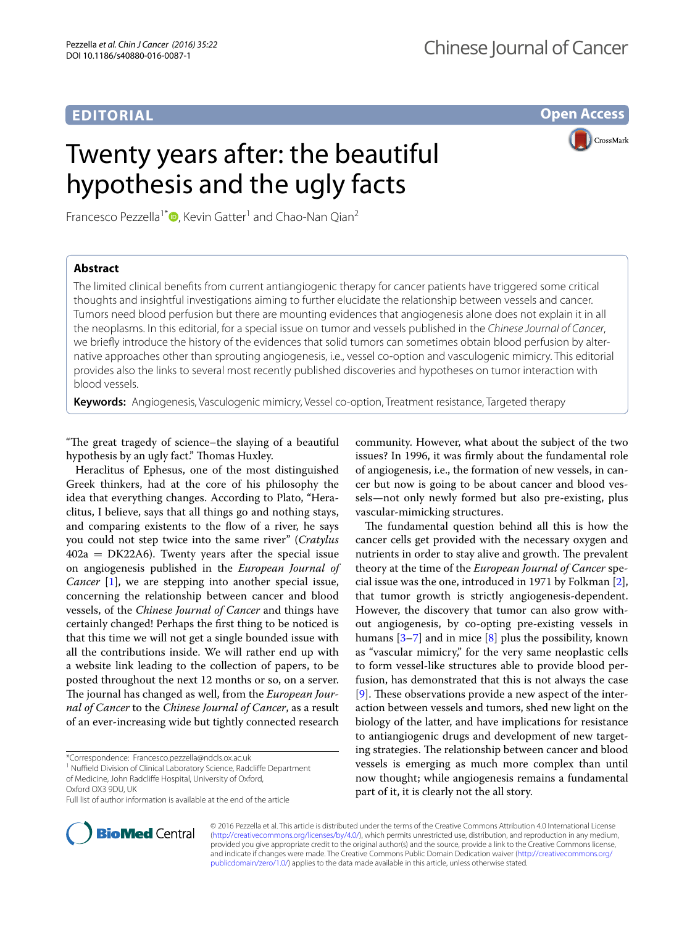## **EDITORIAL**

**Open Access**

# Twenty years after: the beautiful hypothesis and the ugly facts

CrossMark

Francesco Pezzella<sup>1\*</sup><sup>®</sup>[,](http://orcid.org/0000-0003-1505-7854) Kevin Gatter<sup>1</sup> and Chao-Nan Qian<sup>2</sup>

### **Abstract**

The limited clinical benefits from current antiangiogenic therapy for cancer patients have triggered some critical thoughts and insightful investigations aiming to further elucidate the relationship between vessels and cancer. Tumors need blood perfusion but there are mounting evidences that angiogenesis alone does not explain it in all the neoplasms. In this editorial, for a special issue on tumor and vessels published in the *Chinese Journal of Cancer*, we briefly introduce the history of the evidences that solid tumors can sometimes obtain blood perfusion by alternative approaches other than sprouting angiogenesis, i.e., vessel co-option and vasculogenic mimicry. This editorial provides also the links to several most recently published discoveries and hypotheses on tumor interaction with blood vessels.

**Keywords:** Angiogenesis, Vasculogenic mimicry, Vessel co-option, Treatment resistance, Targeted therapy

"The great tragedy of science–the slaying of a beautiful hypothesis by an ugly fact." Thomas Huxley.

Heraclitus of Ephesus, one of the most distinguished Greek thinkers, had at the core of his philosophy the idea that everything changes. According to Plato, "Heraclitus, I believe, says that all things go and nothing stays, and comparing existents to the flow of a river, he says you could not step twice into the same river" (*Cratylus*  $402a = DK22A6$ . Twenty years after the special issue on angiogenesis published in the *European Journal of Cancer* [\[1](#page-1-0)], we are stepping into another special issue, concerning the relationship between cancer and blood vessels, of the *Chinese Journal of Cancer* and things have certainly changed! Perhaps the first thing to be noticed is that this time we will not get a single bounded issue with all the contributions inside. We will rather end up with a website link leading to the collection of papers, to be posted throughout the next 12 months or so, on a server. The journal has changed as well, from the *European Journal of Cancer* to the *Chinese Journal of Cancer*, as a result of an ever-increasing wide but tightly connected research

<sup>1</sup> Nuffield Division of Clinical Laboratory Science, Radcliffe Department of Medicine, John Radcliffe Hospital, University of Oxford, Oxford OX3 9DU, UK



The fundamental question behind all this is how the cancer cells get provided with the necessary oxygen and nutrients in order to stay alive and growth. The prevalent theory at the time of the *European Journal of Cancer* special issue was the one, introduced in 1971 by Folkman [\[2](#page-1-1)], that tumor growth is strictly angiogenesis-dependent. However, the discovery that tumor can also grow without angiogenesis, by co-opting pre-existing vessels in humans  $[3-7]$  $[3-7]$  $[3-7]$  and in mice  $[8]$  $[8]$  plus the possibility, known as "vascular mimicry," for the very same neoplastic cells to form vessel-like structures able to provide blood perfusion, has demonstrated that this is not always the case [[9\]](#page-2-2). These observations provide a new aspect of the interaction between vessels and tumors, shed new light on the biology of the latter, and have implications for resistance to antiangiogenic drugs and development of new targeting strategies. The relationship between cancer and blood vessels is emerging as much more complex than until now thought; while angiogenesis remains a fundamental part of it, it is clearly not the all story.



© 2016 Pezzella et al. This article is distributed under the terms of the Creative Commons Attribution 4.0 International License [\(http://creativecommons.org/licenses/by/4.0/\)](http://creativecommons.org/licenses/by/4.0/), which permits unrestricted use, distribution, and reproduction in any medium, provided you give appropriate credit to the original author(s) and the source, provide a link to the Creative Commons license, and indicate if changes were made. The Creative Commons Public Domain Dedication waiver ([http://creativecommons.org/](http://creativecommons.org/publicdomain/zero/1.0/) [publicdomain/zero/1.0/](http://creativecommons.org/publicdomain/zero/1.0/)) applies to the data made available in this article, unless otherwise stated.

<sup>\*</sup>Correspondence: Francesco.pezzella@ndcls.ox.ac.uk

Full list of author information is available at the end of the article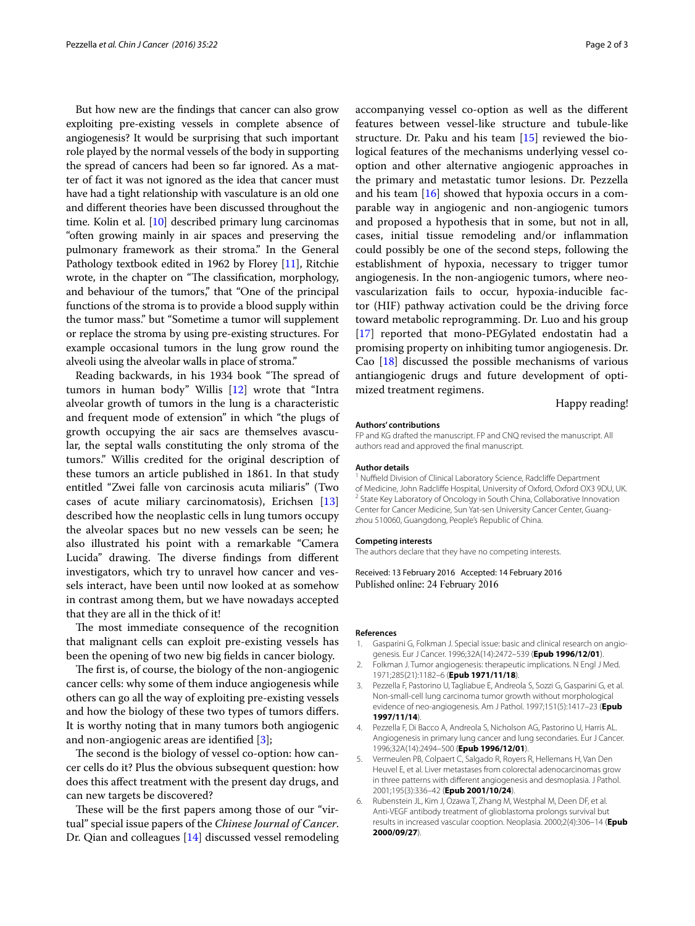But how new are the findings that cancer can also grow exploiting pre-existing vessels in complete absence of angiogenesis? It would be surprising that such important role played by the normal vessels of the body in supporting the spread of cancers had been so far ignored. As a matter of fact it was not ignored as the idea that cancer must have had a tight relationship with vasculature is an old one and different theories have been discussed throughout the time. Kolin et al. [[10](#page-2-3)] described primary lung carcinomas "often growing mainly in air spaces and preserving the pulmonary framework as their stroma." In the General Pathology textbook edited in 1962 by Florey [\[11\]](#page-2-4), Ritchie wrote, in the chapter on "The classification, morphology, and behaviour of the tumors," that "One of the principal functions of the stroma is to provide a blood supply within the tumor mass." but "Sometime a tumor will supplement or replace the stroma by using pre-existing structures. For example occasional tumors in the lung grow round the alveoli using the alveolar walls in place of stroma."

Reading backwards, in his 1934 book "The spread of tumors in human body" Willis [\[12\]](#page-2-5) wrote that "Intra alveolar growth of tumors in the lung is a characteristic and frequent mode of extension" in which "the plugs of growth occupying the air sacs are themselves avascular, the septal walls constituting the only stroma of the tumors." Willis credited for the original description of these tumors an article published in 1861. In that study entitled "Zwei falle von carcinosis acuta miliaris" (Two cases of acute miliary carcinomatosis), Erichsen [[13](#page-2-6)] described how the neoplastic cells in lung tumors occupy the alveolar spaces but no new vessels can be seen; he also illustrated his point with a remarkable "Camera Lucida" drawing. The diverse findings from different investigators, which try to unravel how cancer and vessels interact, have been until now looked at as somehow in contrast among them, but we have nowadays accepted that they are all in the thick of it!

The most immediate consequence of the recognition that malignant cells can exploit pre-existing vessels has been the opening of two new big fields in cancer biology.

The first is, of course, the biology of the non-angiogenic cancer cells: why some of them induce angiogenesis while others can go all the way of exploiting pre-existing vessels and how the biology of these two types of tumors differs. It is worthy noting that in many tumors both angiogenic and non-angiogenic areas are identified [\[3\]](#page-1-2);

The second is the biology of vessel co-option: how cancer cells do it? Plus the obvious subsequent question: how does this affect treatment with the present day drugs, and can new targets be discovered?

These will be the first papers among those of our "virtual" special issue papers of the *Chinese Journal of Cancer*. Dr. Qian and colleagues [\[14](#page-2-7)] discussed vessel remodeling

accompanying vessel co-option as well as the different features between vessel-like structure and tubule-like structure. Dr. Paku and his team  $[15]$  $[15]$  $[15]$  reviewed the biological features of the mechanisms underlying vessel cooption and other alternative angiogenic approaches in the primary and metastatic tumor lesions. Dr. Pezzella and his team [\[16](#page-2-9)] showed that hypoxia occurs in a comparable way in angiogenic and non-angiogenic tumors and proposed a hypothesis that in some, but not in all, cases, initial tissue remodeling and/or inflammation could possibly be one of the second steps, following the establishment of hypoxia, necessary to trigger tumor angiogenesis. In the non-angiogenic tumors, where neovascularization fails to occur, hypoxia-inducible factor (HIF) pathway activation could be the driving force toward metabolic reprogramming. Dr. Luo and his group [[17\]](#page-2-10) reported that mono-PEGylated endostatin had a promising property on inhibiting tumor angiogenesis. Dr. Cao [\[18](#page-2-11)] discussed the possible mechanisms of various antiangiogenic drugs and future development of optimized treatment regimens.

Happy reading!

#### **Authors' contributions**

FP and KG drafted the manuscript. FP and CNQ revised the manuscript. All authors read and approved the final manuscript.

#### **Author details**

<sup>1</sup> Nuffield Division of Clinical Laboratory Science, Radcliffe Department<br>of Medicine, John Radcliffe Hospital, University of Oxford, Oxford OX3 9DU, UK.  $^2$  State Key Laboratory of Oncology in South China, Collaborative Innovation Center for Cancer Medicine, Sun Yat-sen University Cancer Center, Guangzhou 510060, Guangdong, People's Republic of China.

#### **Competing interests**

The authors declare that they have no competing interests.

Received: 13 February 2016 Accepted: 14 February 2016 Published online: 24 February 2016

#### **References**

- <span id="page-1-0"></span>Gasparini G, Folkman J. Special issue: basic and clinical research on angiogenesis. Eur J Cancer. 1996;32A(14):2472–539 (**Epub 1996/12/01**).
- <span id="page-1-1"></span>2. Folkman J. Tumor angiogenesis: therapeutic implications. N Engl J Med. 1971;285(21):1182–6 (**Epub 1971/11/18**).
- <span id="page-1-2"></span>3. Pezzella F, Pastorino U, Tagliabue E, Andreola S, Sozzi G, Gasparini G, et al. Non-small-cell lung carcinoma tumor growth without morphological evidence of neo-angiogenesis. Am J Pathol. 1997;151(5):1417–23 (**Epub 1997/11/14**).
- 4. Pezzella F, Di Bacco A, Andreola S, Nicholson AG, Pastorino U, Harris AL. Angiogenesis in primary lung cancer and lung secondaries. Eur J Cancer. 1996;32A(14):2494–500 (**Epub 1996/12/01**).
- 5. Vermeulen PB, Colpaert C, Salgado R, Royers R, Hellemans H, Van Den Heuvel E, et al. Liver metastases from colorectal adenocarcinomas grow in three patterns with different angiogenesis and desmoplasia. J Pathol. 2001;195(3):336–42 (**Epub 2001/10/24**).
- 6. Rubenstein JL, Kim J, Ozawa T, Zhang M, Westphal M, Deen DF, et al. Anti-VEGF antibody treatment of glioblastoma prolongs survival but results in increased vascular cooption. Neoplasia. 2000;2(4):306–14 (**Epub 2000/09/27**).